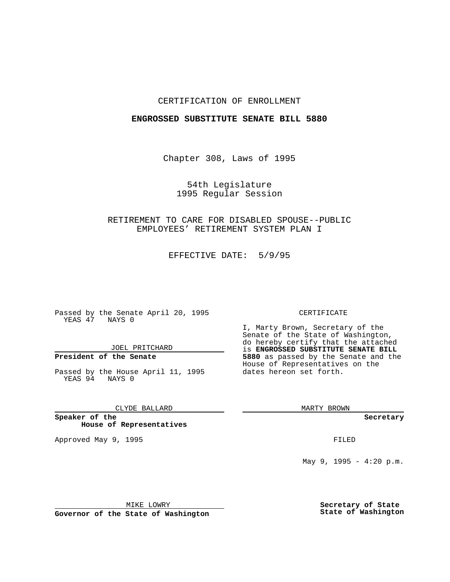## CERTIFICATION OF ENROLLMENT

## **ENGROSSED SUBSTITUTE SENATE BILL 5880**

Chapter 308, Laws of 1995

54th Legislature 1995 Regular Session

RETIREMENT TO CARE FOR DISABLED SPOUSE--PUBLIC EMPLOYEES' RETIREMENT SYSTEM PLAN I

EFFECTIVE DATE: 5/9/95

Passed by the Senate April 20, 1995 YEAS 47 NAYS 0

JOEL PRITCHARD

# **President of the Senate**

Passed by the House April 11, 1995 YEAS 94 NAYS 0

CLYDE BALLARD

**Speaker of the House of Representatives**

Approved May 9, 1995 **FILED** 

#### CERTIFICATE

I, Marty Brown, Secretary of the Senate of the State of Washington, do hereby certify that the attached is **ENGROSSED SUBSTITUTE SENATE BILL 5880** as passed by the Senate and the House of Representatives on the dates hereon set forth.

MARTY BROWN

**Secretary**

May 9, 1995 -  $4:20$  p.m.

MIKE LOWRY

**Governor of the State of Washington**

**Secretary of State State of Washington**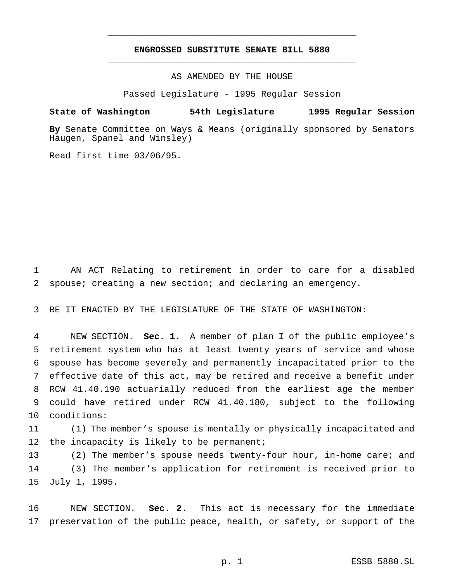## **ENGROSSED SUBSTITUTE SENATE BILL 5880** \_\_\_\_\_\_\_\_\_\_\_\_\_\_\_\_\_\_\_\_\_\_\_\_\_\_\_\_\_\_\_\_\_\_\_\_\_\_\_\_\_\_\_\_\_\_\_

\_\_\_\_\_\_\_\_\_\_\_\_\_\_\_\_\_\_\_\_\_\_\_\_\_\_\_\_\_\_\_\_\_\_\_\_\_\_\_\_\_\_\_\_\_\_\_

AS AMENDED BY THE HOUSE

Passed Legislature - 1995 Regular Session

## **State of Washington 54th Legislature 1995 Regular Session**

**By** Senate Committee on Ways & Means (originally sponsored by Senators Haugen, Spanel and Winsley)

Read first time 03/06/95.

1 AN ACT Relating to retirement in order to care for a disabled 2 spouse; creating a new section; and declaring an emergency.

3 BE IT ENACTED BY THE LEGISLATURE OF THE STATE OF WASHINGTON:

 NEW SECTION. **Sec. 1.** A member of plan I of the public employee's retirement system who has at least twenty years of service and whose spouse has become severely and permanently incapacitated prior to the effective date of this act, may be retired and receive a benefit under RCW 41.40.190 actuarially reduced from the earliest age the member could have retired under RCW 41.40.180, subject to the following conditions:

11 (1) The member's spouse is mentally or physically incapacitated and 12 the incapacity is likely to be permanent;

13 (2) The member's spouse needs twenty-four hour, in-home care; and 14 (3) The member's application for retirement is received prior to 15 July 1, 1995.

16 NEW SECTION. **Sec. 2.** This act is necessary for the immediate 17 preservation of the public peace, health, or safety, or support of the